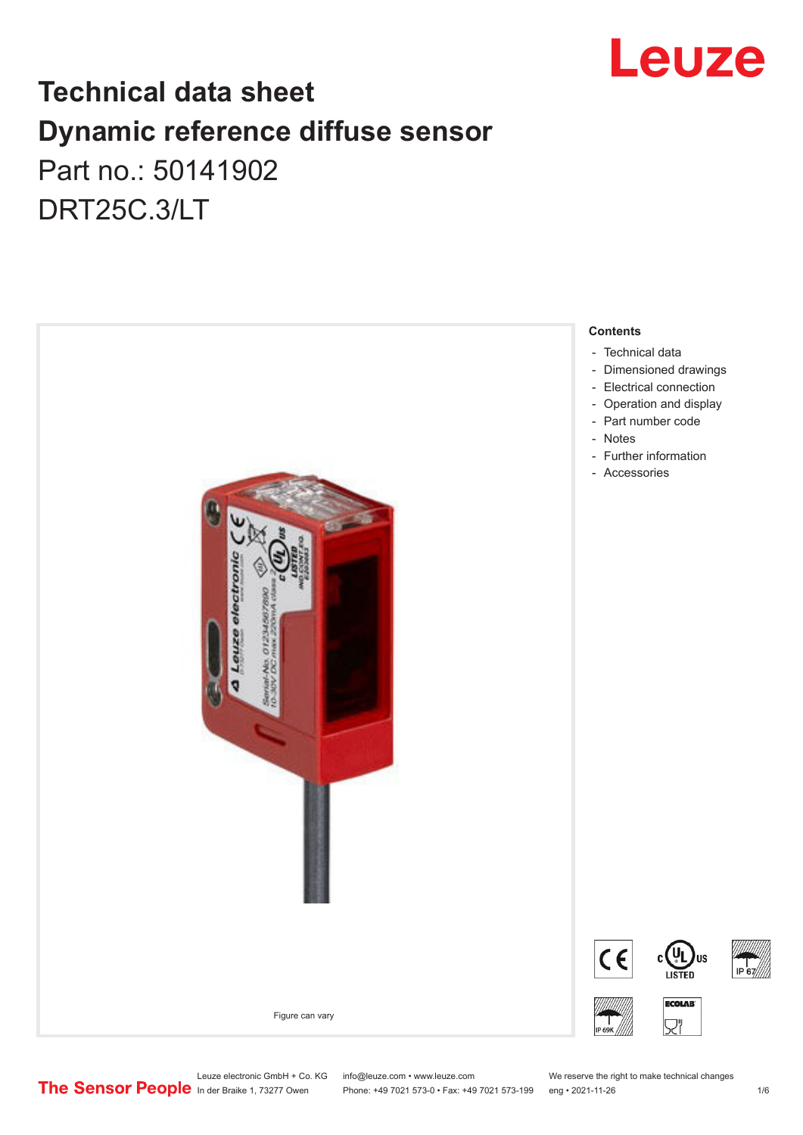

## **Technical data sheet Dynamic reference diffuse sensor** Part no.: 50141902 DRT25C.3/LT



Leuze electronic GmbH + Co. KG info@leuze.com • www.leuze.com We reserve the right to make technical changes<br>
The Sensor People in der Braike 1, 73277 Owen Phone: +49 7021 573-0 • Fax: +49 7021 573-199 eng • 2021-11-26

Phone: +49 7021 573-0 • Fax: +49 7021 573-199 eng • 2021-11-26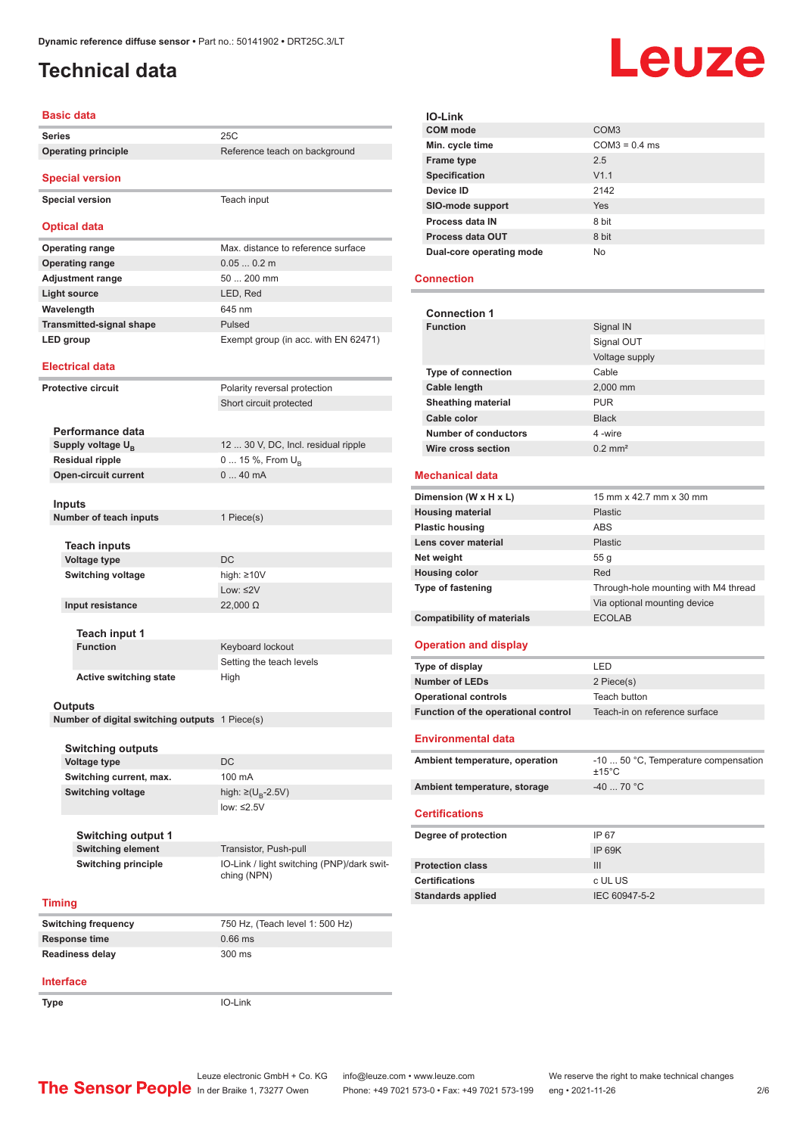### <span id="page-1-0"></span>**Technical data**

# Leuze

| <b>Basic data</b>                              |                                                           |  |
|------------------------------------------------|-----------------------------------------------------------|--|
| <b>Series</b>                                  | 25C                                                       |  |
| <b>Operating principle</b>                     | Reference teach on background                             |  |
| <b>Special version</b>                         |                                                           |  |
| <b>Special version</b>                         | Teach input                                               |  |
| <b>Optical data</b>                            |                                                           |  |
| <b>Operating range</b>                         | Max. distance to reference surface                        |  |
| <b>Operating range</b>                         | $0.050.2$ m                                               |  |
| <b>Adjustment range</b>                        | 50  200 mm                                                |  |
| <b>Light source</b>                            | LED, Red                                                  |  |
| Wavelength                                     | 645 nm                                                    |  |
| <b>Transmitted-signal shape</b>                | Pulsed                                                    |  |
| <b>LED</b> group                               | Exempt group (in acc. with EN 62471)                      |  |
| <b>Electrical data</b>                         |                                                           |  |
| <b>Protective circuit</b>                      | Polarity reversal protection<br>Short circuit protected   |  |
| Performance data                               |                                                           |  |
| Supply voltage U <sub>B</sub>                  | 12  30 V, DC, Incl. residual ripple                       |  |
| <b>Residual ripple</b>                         | 0  15 %, From $U_{\rm B}$                                 |  |
| <b>Open-circuit current</b>                    | 040mA                                                     |  |
|                                                |                                                           |  |
| <b>Inputs</b>                                  |                                                           |  |
| Number of teach inputs                         | 1 Piece(s)                                                |  |
|                                                |                                                           |  |
| <b>Teach inputs</b>                            |                                                           |  |
| <b>Voltage type</b>                            | <b>DC</b>                                                 |  |
| <b>Switching voltage</b>                       | high: $\geq 10V$<br>Low: $\leq$ 2V                        |  |
| Input resistance                               | $22,000 \Omega$                                           |  |
|                                                |                                                           |  |
| Teach input 1                                  |                                                           |  |
| <b>Function</b>                                | Keyboard lockout                                          |  |
|                                                | Setting the teach levels                                  |  |
| <b>Active switching state</b>                  | High                                                      |  |
|                                                |                                                           |  |
| Outputs                                        |                                                           |  |
| Number of digital switching outputs 1 Piece(s) |                                                           |  |
| Switching outputs                              |                                                           |  |
| Voltage type                                   | DC                                                        |  |
| Switching current, max.                        | 100 mA                                                    |  |
| <b>Switching voltage</b>                       | high: $\geq (U_{B} - 2.5V)$                               |  |
|                                                | low: $\leq 2.5V$                                          |  |
|                                                |                                                           |  |
| Switching output 1                             |                                                           |  |
| <b>Switching element</b>                       | Transistor, Push-pull                                     |  |
| <b>Switching principle</b>                     | IO-Link / light switching (PNP)/dark swit-<br>ching (NPN) |  |
| <b>Timing</b>                                  |                                                           |  |
| <b>Switching frequency</b>                     | 750 Hz, (Teach level 1: 500 Hz)                           |  |
| <b>Response time</b>                           | $0.66$ ms                                                 |  |
| Readiness delay                                | 300 ms                                                    |  |
|                                                |                                                           |  |

| <b>IO-Link</b>           |                  |
|--------------------------|------------------|
| <b>COM</b> mode          | COM <sub>3</sub> |
| Min. cycle time          | $COM3 = 0.4$ ms  |
| <b>Frame type</b>        | 2.5              |
| Specification            | V1.1             |
| Device ID                | 2142             |
| SIO-mode support         | Yes              |
| Process data IN          | 8 bit            |
| Process data OUT         | 8 bit            |
| Dual-core operating mode | No               |

### **Connection**

| <b>Connection 1</b>                 |                                                         |  |
|-------------------------------------|---------------------------------------------------------|--|
| <b>Function</b>                     | Signal IN                                               |  |
|                                     | Signal OUT                                              |  |
|                                     | Voltage supply                                          |  |
| <b>Type of connection</b>           | Cable                                                   |  |
| <b>Cable length</b>                 | 2.000 mm                                                |  |
| <b>Sheathing material</b>           | <b>PUR</b>                                              |  |
| Cable color                         | <b>Black</b>                                            |  |
| Number of conductors                | 4-wire                                                  |  |
| Wire cross section                  | $0.2$ mm <sup>2</sup>                                   |  |
|                                     |                                                         |  |
| <b>Mechanical data</b>              |                                                         |  |
| Dimension (W x H x L)               | 15 mm x 42.7 mm x 30 mm                                 |  |
| <b>Housing material</b>             | <b>Plastic</b>                                          |  |
| <b>Plastic housing</b>              | <b>ABS</b>                                              |  |
| Lens cover material                 | <b>Plastic</b>                                          |  |
| Net weight                          | 55 q                                                    |  |
| <b>Housing color</b>                | Red                                                     |  |
| <b>Type of fastening</b>            | Through-hole mounting with M4 thread                    |  |
|                                     | Via optional mounting device                            |  |
| <b>Compatibility of materials</b>   | <b>ECOLAB</b>                                           |  |
| <b>Operation and display</b>        |                                                         |  |
| Type of display                     | LED                                                     |  |
| <b>Number of LEDs</b>               | 2 Piece(s)                                              |  |
| <b>Operational controls</b>         | Teach button                                            |  |
| Function of the operational control | Teach-in on reference surface                           |  |
| Environmental data                  |                                                         |  |
| Ambient temperature, operation      | -10  50 °C, Temperature compensation<br>$+15^{\circ}$ C |  |
| Ambient temperature, storage        | $-40$ 70 °C                                             |  |
| <b>Certifications</b>               |                                                         |  |

| Degree of protection     | IP 67         |
|--------------------------|---------------|
|                          | IP 69K        |
| <b>Protection class</b>  | Ш             |
| <b>Certifications</b>    | c UL US       |
| <b>Standards applied</b> | IEC 60947-5-2 |

#### **Interface**

**Type** IO-Link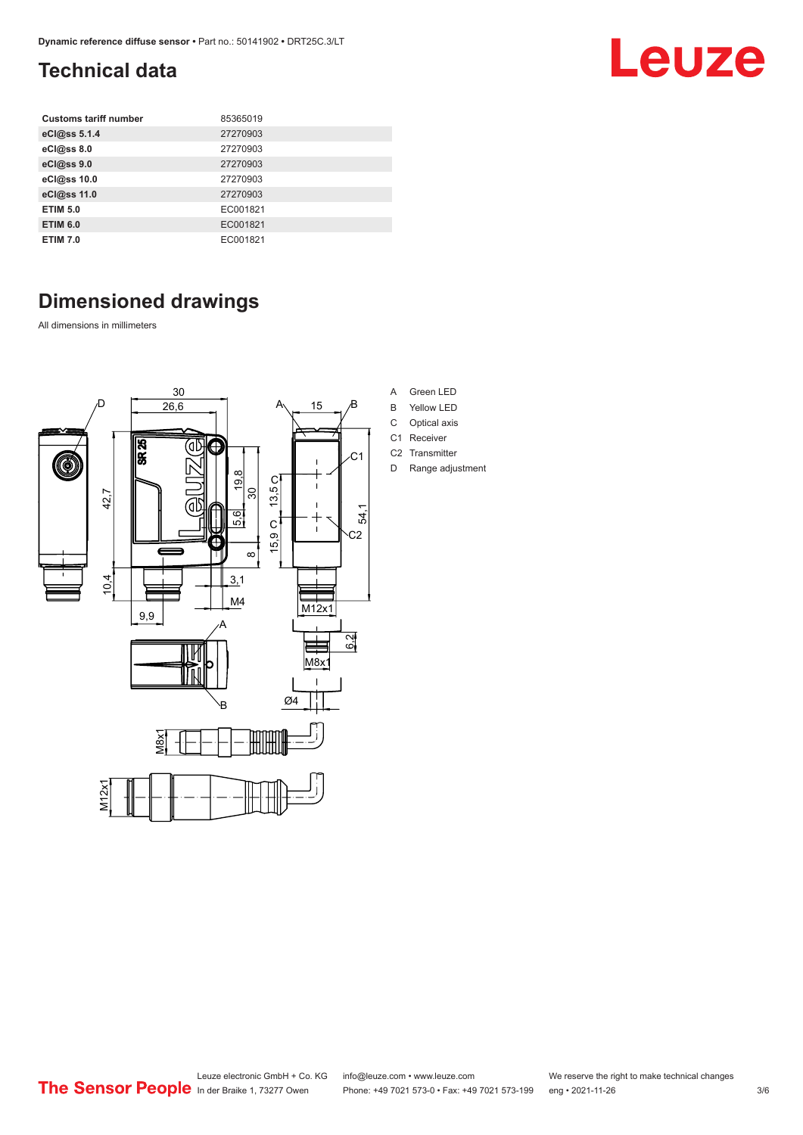### <span id="page-2-0"></span>**Technical data**

| <b>Customs tariff number</b> | 85365019 |
|------------------------------|----------|
| eCl@ss 5.1.4                 | 27270903 |
| eCl@ss 8.0                   | 27270903 |
| eCl@ss 9.0                   | 27270903 |
| eCl@ss 10.0                  | 27270903 |
| eCl@ss 11.0                  | 27270903 |
| <b>ETIM 5.0</b>              | EC001821 |
| <b>ETIM 6.0</b>              | EC001821 |
| <b>ETIM 7.0</b>              | EC001821 |

### **Dimensioned drawings**

All dimensions in millimeters



- A Green LED
- B Yellow LED
- C Optical axis
- C1 Receiver C2 Transmitter
- D Range adjustment

Leuze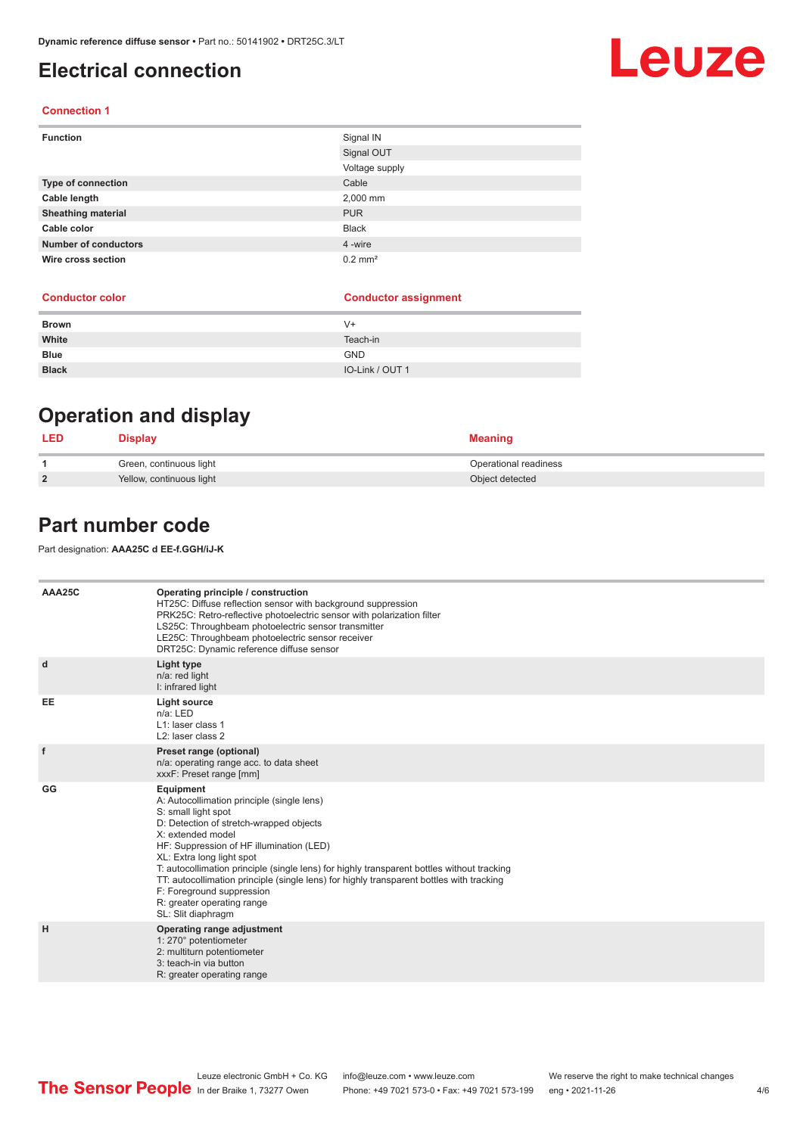### <span id="page-3-0"></span>**Electrical connection**

#### **Connection 1**

| <b>Function</b>             | Signal IN             |
|-----------------------------|-----------------------|
|                             | Signal OUT            |
|                             | Voltage supply        |
| Type of connection          | Cable                 |
| Cable length                | 2,000 mm              |
| <b>Sheathing material</b>   | <b>PUR</b>            |
| Cable color                 | <b>Black</b>          |
| <b>Number of conductors</b> | 4 -wire               |
| Wire cross section          | $0.2$ mm <sup>2</sup> |

#### **Conductor color Conductor assignment**

| <b>Brown</b> | V+              |
|--------------|-----------------|
| White        | Teach-in        |
| <b>Blue</b>  | <b>GND</b>      |
| <b>Black</b> | IO-Link / OUT 1 |

### **Operation and display**

| <b>LED</b>     | <b>Display</b>           | Meaning               |
|----------------|--------------------------|-----------------------|
|                | Green, continuous light  | Operational readiness |
| $\overline{2}$ | Yellow, continuous light | Object detected       |

### **Part number code**

Part designation: **AAA25C d EE-f.GGH/iJ-K**

| AAA25C    | Operating principle / construction<br>HT25C: Diffuse reflection sensor with background suppression<br>PRK25C: Retro-reflective photoelectric sensor with polarization filter<br>LS25C: Throughbeam photoelectric sensor transmitter<br>LE25C: Throughbeam photoelectric sensor receiver<br>DRT25C: Dynamic reference diffuse sensor                                                                                                                                                                |
|-----------|----------------------------------------------------------------------------------------------------------------------------------------------------------------------------------------------------------------------------------------------------------------------------------------------------------------------------------------------------------------------------------------------------------------------------------------------------------------------------------------------------|
| d         | Light type<br>$n/a$ : red light<br>I: infrared light                                                                                                                                                                                                                                                                                                                                                                                                                                               |
| <b>EE</b> | <b>Light source</b><br>n/a: LED<br>L1: laser class 1<br>L <sub>2</sub> : laser class 2                                                                                                                                                                                                                                                                                                                                                                                                             |
| f         | Preset range (optional)<br>n/a: operating range acc. to data sheet<br>xxxF: Preset range [mm]                                                                                                                                                                                                                                                                                                                                                                                                      |
| GG        | Equipment<br>A: Autocollimation principle (single lens)<br>S: small light spot<br>D: Detection of stretch-wrapped objects<br>X: extended model<br>HF: Suppression of HF illumination (LED)<br>XL: Extra long light spot<br>T: autocollimation principle (single lens) for highly transparent bottles without tracking<br>TT: autocollimation principle (single lens) for highly transparent bottles with tracking<br>F: Foreground suppression<br>R: greater operating range<br>SL: Slit diaphragm |
| н         | Operating range adjustment<br>1: 270° potentiometer<br>2: multiturn potentiometer<br>3: teach-in via button<br>R: greater operating range                                                                                                                                                                                                                                                                                                                                                          |

#### Leuze electronic GmbH + Co. KG info@leuze.com • www.leuze.com We reserve the right to make technical changes<br>
The Sensor People in der Braike 1, 73277 Owen Phone: +49 7021 573-0 • Fax: +49 7021 573-199 eng • 2021-11-26 Phone: +49 7021 573-0 • Fax: +49 7021 573-199 eng • 2021-11-26 4/6

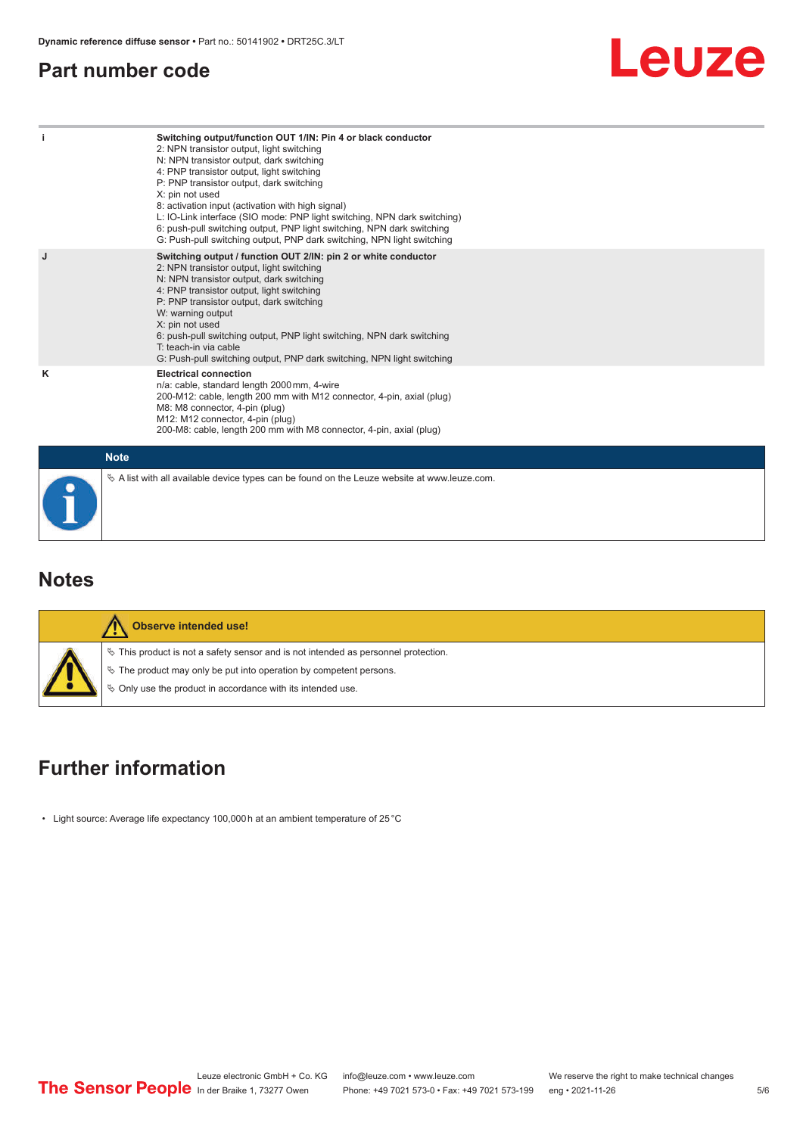### <span id="page-4-0"></span>**Part number code**



| -i | Switching output/function OUT 1/IN: Pin 4 or black conductor<br>2: NPN transistor output, light switching<br>N: NPN transistor output, dark switching<br>4: PNP transistor output, light switching<br>P: PNP transistor output, dark switching<br>X: pin not used<br>8: activation input (activation with high signal)<br>L: IO-Link interface (SIO mode: PNP light switching, NPN dark switching)<br>6: push-pull switching output, PNP light switching, NPN dark switching<br>G: Push-pull switching output, PNP dark switching, NPN light switching |
|----|--------------------------------------------------------------------------------------------------------------------------------------------------------------------------------------------------------------------------------------------------------------------------------------------------------------------------------------------------------------------------------------------------------------------------------------------------------------------------------------------------------------------------------------------------------|
| J  | Switching output / function OUT 2/IN: pin 2 or white conductor<br>2: NPN transistor output, light switching<br>N: NPN transistor output, dark switching<br>4: PNP transistor output, light switching<br>P: PNP transistor output, dark switching<br>W: warning output<br>X: pin not used<br>6: push-pull switching output, PNP light switching, NPN dark switching<br>T: teach-in via cable<br>G: Push-pull switching output, PNP dark switching, NPN light switching                                                                                  |
| κ  | <b>Electrical connection</b><br>n/a: cable, standard length 2000 mm, 4-wire<br>200-M12: cable, length 200 mm with M12 connector, 4-pin, axial (plug)<br>M8: M8 connector, 4-pin (plug)<br>M12: M12 connector, 4-pin (plug)<br>200-M8: cable, length 200 mm with M8 connector, 4-pin, axial (plug)                                                                                                                                                                                                                                                      |
|    | <b>Note</b>                                                                                                                                                                                                                                                                                                                                                                                                                                                                                                                                            |
|    | $\&$ A list with all available device types can be found on the Leuze website at www.leuze.com.                                                                                                                                                                                                                                                                                                                                                                                                                                                        |

### **Notes**

| <b>Observe intended use!</b>                                                                                                                                                                                                  |
|-------------------------------------------------------------------------------------------------------------------------------------------------------------------------------------------------------------------------------|
| $\%$ This product is not a safety sensor and is not intended as personnel protection.<br>$\%$ The product may only be put into operation by competent persons.<br>♦ Only use the product in accordance with its intended use. |

### **Further information**

• Light source: Average life expectancy 100,000 h at an ambient temperature of 25 °C